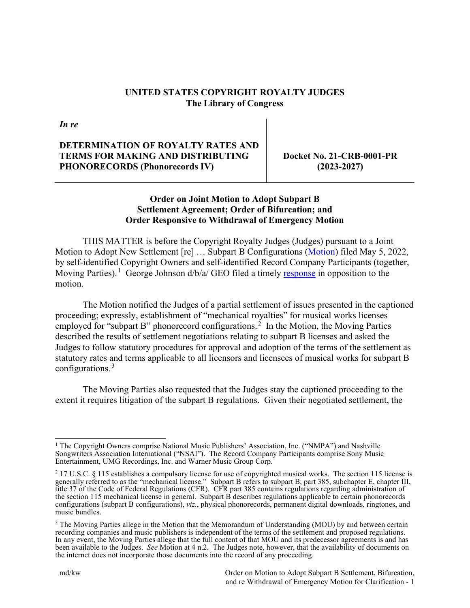### **UNITED STATES COPYRIGHT ROYALTY JUDGES The Library of Congress**

*In re*

## **DETERMINATION OF ROYALTY RATES AND TERMS FOR MAKING AND DISTRIBUTING PHONORECORDS (Phonorecords IV)**

**Docket No. 21-CRB-0001-PR (2023-2027)**

# **Order on Joint Motion to Adopt Subpart B Settlement Agreement; Order of Bifurcation; and Order Responsive to Withdrawal of Emergency Motion**

THIS MATTER is before the Copyright Royalty Judges (Judges) pursuant to a Joint Motion to Adopt New Settlement [re] ... Subpart B Configurations [\(Motion\)](https://app.crb.gov/document/download/26619) filed May 5, 2022, by self-identified Copyright Owners and self-identified Record Company Participants (together, Moving Parties).<sup>1</sup> George Johnson d/b/a/ GEO filed a timely [response](https://app.crb.gov/document/download/26678) in opposition to the motion.

The Motion notified the Judges of a partial settlement of issues presented in the captioned proceeding; expressly, establishment of "mechanical royalties" for musical works licenses employed for "subpart B" phonorecord configurations.<sup>2</sup> In the Motion, the Moving Parties described the results of settlement negotiations relating to subpart B licenses and asked the Judges to follow statutory procedures for approval and adoption of the terms of the settlement as statutory rates and terms applicable to all licensors and licensees of musical works for subpart B configurations.<sup>3</sup>

The Moving Parties also requested that the Judges stay the captioned proceeding to the extent it requires litigation of the subpart B regulations. Given their negotiated settlement, the

<sup>1</sup> The Copyright Owners comprise National Music Publishers' Association, Inc. ("NMPA") and Nashville Songwriters Association International ("NSAI"). The Record Company Participants comprise Sony Music Entertainment, UMG Recordings, Inc. and Warner Music Group Corp.

<sup>2</sup> 17 U.S.C. § 115 establishes a compulsory license for use of copyrighted musical works. The section 115 license is generally referred to as the "mechanical license." Subpart B refers to subpart B, part 385, subchapter E, chapter III, title 37 of the Code of Federal Regulations (CFR). CFR part 385 contains regulations regarding administration of the section 115 mechanical license in general. Subpart B describes regulations applicable to certain phonorecords configurations (subpart B configurations), *viz.*, physical phonorecords, permanent digital downloads, ringtones, and music bundles.

<sup>&</sup>lt;sup>3</sup> The Moving Parties allege in the Motion that the Memorandum of Understanding (MOU) by and between certain recording companies and music publishers is independent of the terms of the settlement and proposed regulations. In any event, the Moving Parties allege that the full content of that MOU and its predecessor agreements is and has been available to the Judges. *See* Motion at 4 n.2. The Judges note, however, that the availability of documents on the internet does not incorporate those documents into the record of any proceeding.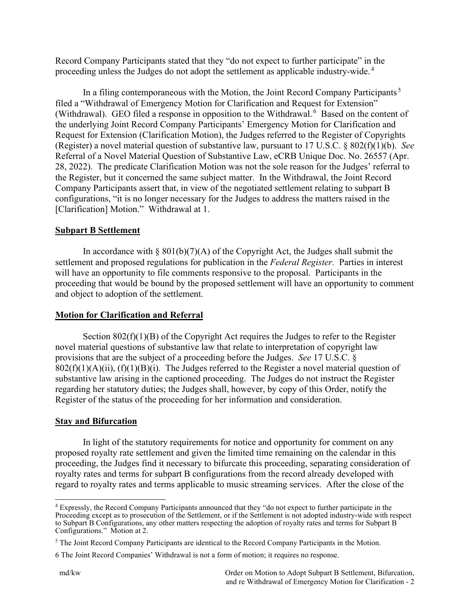Record Company Participants stated that they "do not expect to further participate" in the proceeding unless the Judges do not adopt the settlement as applicable industry-wide.<sup>4</sup>

In a filing contemporaneous with the Motion, the Joint Record Company Participants.<sup>5</sup> filed a "Withdrawal of Emergency Motion for Clarification and Request for Extension" (Withdrawal). GEO filed a response in opposition to the Withdrawal.<sup>6</sup> Based on the content of the underlying Joint Record Company Participants' Emergency Motion for Clarification and Request for Extension (Clarification Motion), the Judges referred to the Register of Copyrights (Register) a novel material question of substantive law, pursuant to 17 U.S.C. § 802(f)(1)(b). *See*  Referral of a Novel Material Question of Substantive Law, eCRB Unique Doc. No. 26557 (Apr. 28, 2022). The predicate Clarification Motion was not the sole reason for the Judges' referral to the Register, but it concerned the same subject matter. In the Withdrawal, the Joint Record Company Participants assert that, in view of the negotiated settlement relating to subpart B configurations, "it is no longer necessary for the Judges to address the matters raised in the [Clarification] Motion." Withdrawal at 1.

# **Subpart B Settlement**

In accordance with  $\S 801(b)(7)(A)$  of the Copyright Act, the Judges shall submit the settlement and proposed regulations for publication in the *Federal Register.* Parties in interest will have an opportunity to file comments responsive to the proposal. Participants in the proceeding that would be bound by the proposed settlement will have an opportunity to comment and object to adoption of the settlement.

### **Motion for Clarification and Referral**

Section  $802(f)(1)(B)$  of the Copyright Act requires the Judges to refer to the Register novel material questions of substantive law that relate to interpretation of copyright law provisions that are the subject of a proceeding before the Judges. *See* 17 U.S.C. §  $802(f)(1)(A)(ii)$ ,  $(f)(1)(B)(i)$ . The Judges referred to the Register a novel material question of substantive law arising in the captioned proceeding. The Judges do not instruct the Register regarding her statutory duties; the Judges shall, however, by copy of this Order, notify the Register of the status of the proceeding for her information and consideration.

### **Stay and Bifurcation**

In light of the statutory requirements for notice and opportunity for comment on any proposed royalty rate settlement and given the limited time remaining on the calendar in this proceeding, the Judges find it necessary to bifurcate this proceeding, separating consideration of royalty rates and terms for subpart B configurations from the record already developed with regard to royalty rates and terms applicable to music streaming services. After the close of the

<sup>4</sup> Expressly, the Record Company Participants announced that they "do not expect to further participate in the Proceeding except as to prosecution of the Settlement, or if the Settlement is not adopted industry-wide with respect to Subpart B Configurations, any other matters respecting the adoption of royalty rates and terms for Subpart B Configurations." Motion at 2.

<sup>5</sup> The Joint Record Company Participants are identical to the Record Company Participants in the Motion.

<sup>6</sup> The Joint Record Companies' Withdrawal is not a form of motion; it requires no response.